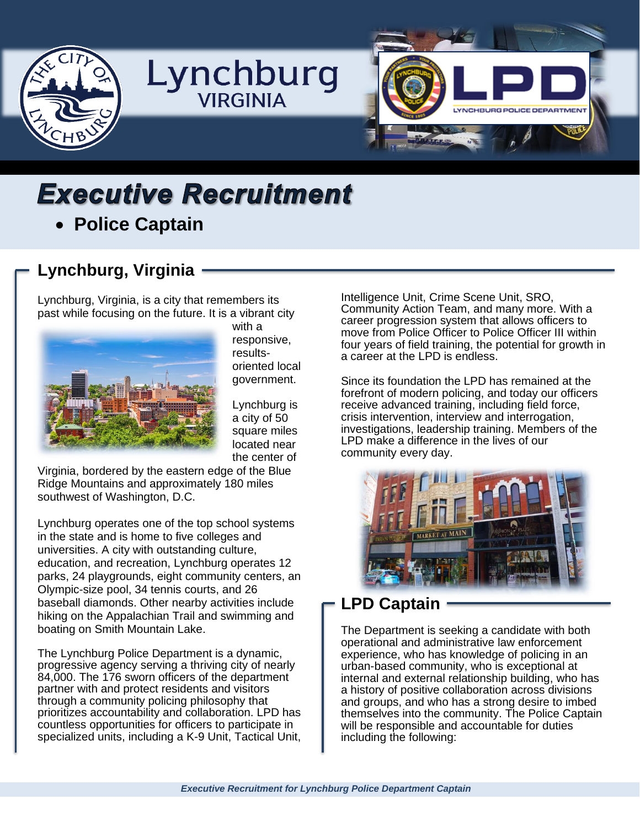

# **Executive Recruitment** • **Police Captain**

# **Lynchburg, Virginia**

Lynchburg, Virginia, is a city that remembers its past while focusing on the future. It is a vibrant city



with a responsive, resultsoriented local government.

Lynchburg is a city of 50 square miles located near the center of

Virginia, bordered by the eastern edge of the Blue Ridge Mountains and approximately 180 miles southwest of Washington, D.C.

Lynchburg operates one of the top school systems in the state and is home to five colleges and universities. A city with outstanding culture, education, and recreation, Lynchburg operates 12 parks, 24 playgrounds, eight community centers, an Olympic-size pool, 34 tennis courts, and 26 baseball diamonds. Other nearby activities include hiking on the Appalachian Trail and swimming and boating on Smith Mountain Lake.

The Lynchburg Police Department is a dynamic, progressive agency serving a thriving city of nearly 84,000. The 176 sworn officers of the department partner with and protect residents and visitors through a community policing philosophy that prioritizes accountability and collaboration. LPD has countless opportunities for officers to participate in specialized units, including a K-9 Unit, Tactical Unit, Intelligence Unit, Crime Scene Unit, SRO, Community Action Team, and many more. With a career progression system that allows officers to move from Police Officer to Police Officer III within four years of field training, the potential for growth in a career at the LPD is endless.

Since its foundation the LPD has remained at the forefront of modern policing, and today our officers receive advanced training, including field force, crisis intervention, interview and interrogation, investigations, leadership training. Members of the LPD make a difference in the lives of our community every day.



### **LPD Captain**

The Department is seeking a candidate with both operational and administrative law enforcement experience, who has knowledge of policing in an urban-based community, who is exceptional at internal and external relationship building, who has a history of positive collaboration across divisions and groups, and who has a strong desire to imbed themselves into the community. The Police Captain will be responsible and accountable for duties including the following: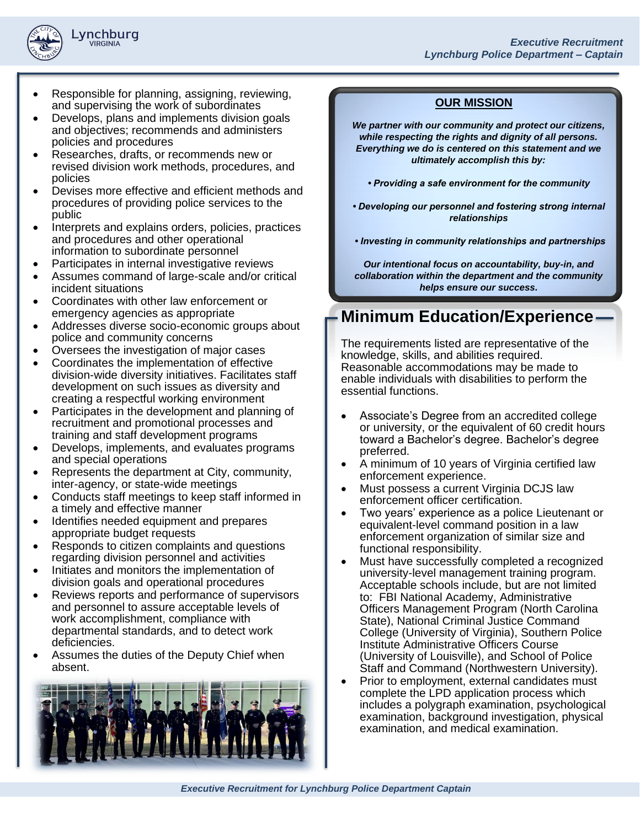

- Responsible for planning, assigning, reviewing, and supervising the work of subordinates
- Develops, plans and implements division goals and objectives; recommends and administers policies and procedures
- Researches, drafts, or recommends new or revised division work methods, procedures, and policies
- Devises more effective and efficient methods and procedures of providing police services to the public
- Interprets and explains orders, policies, practices and procedures and other operational information to subordinate personnel
- Participates in internal investigative reviews
- Assumes command of large-scale and/or critical incident situations
- Coordinates with other law enforcement or emergency agencies as appropriate
- Addresses diverse socio-economic groups about police and community concerns
- Oversees the investigation of major cases
- Coordinates the implementation of effective division-wide diversity initiatives. Facilitates staff development on such issues as diversity and creating a respectful working environment
- Participates in the development and planning of recruitment and promotional processes and training and staff development programs
- Develops, implements, and evaluates programs and special operations
- Represents the department at City, community, inter-agency, or state-wide meetings
- Conducts staff meetings to keep staff informed in a timely and effective manner
- Identifies needed equipment and prepares appropriate budget requests
- Responds to citizen complaints and questions regarding division personnel and activities
- Initiates and monitors the implementation of division goals and operational procedures
- Reviews reports and performance of supervisors and personnel to assure acceptable levels of work accomplishment, compliance with departmental standards, and to detect work deficiencies.
- Assumes the duties of the Deputy Chief when absent.



#### **OUR MISSION**

*We partner with our community and protect our citizens, while respecting the rights and dignity of all persons. Everything we do is centered on this statement and we ultimately accomplish this by:*

- *Providing a safe environment for the community*
- *Developing our personnel and fostering strong internal relationships*
- *Investing in community relationships and partnerships*

*Our intentional focus on accountability, buy-in, and collaboration within the department and the community helps ensure our success.*

### **Minimum Education/Experience**

The requirements listed are representative of the knowledge, skills, and abilities required. Reasonable accommodations may be made to enable individuals with disabilities to perform the essential functions.

- Associate's Degree from an accredited college or university, or the equivalent of 60 credit hours toward a Bachelor's degree. Bachelor's degree preferred.
- A minimum of 10 years of Virginia certified law enforcement experience.
- Must possess a current Virginia DCJS law enforcement officer certification.
- Two years' experience as a police Lieutenant or equivalent-level command position in a law enforcement organization of similar size and functional responsibility.
- Must have successfully completed a recognized university-level management training program. Acceptable schools include, but are not limited to: FBI National Academy, Administrative Officers Management Program (North Carolina State), National Criminal Justice Command College (University of Virginia), Southern Police Institute Administrative Officers Course (University of Louisville), and School of Police Staff and Command (Northwestern University).
- Prior to employment, external candidates must complete the LPD application process which includes a polygraph examination, psychological examination, background investigation, physical examination, and medical examination.